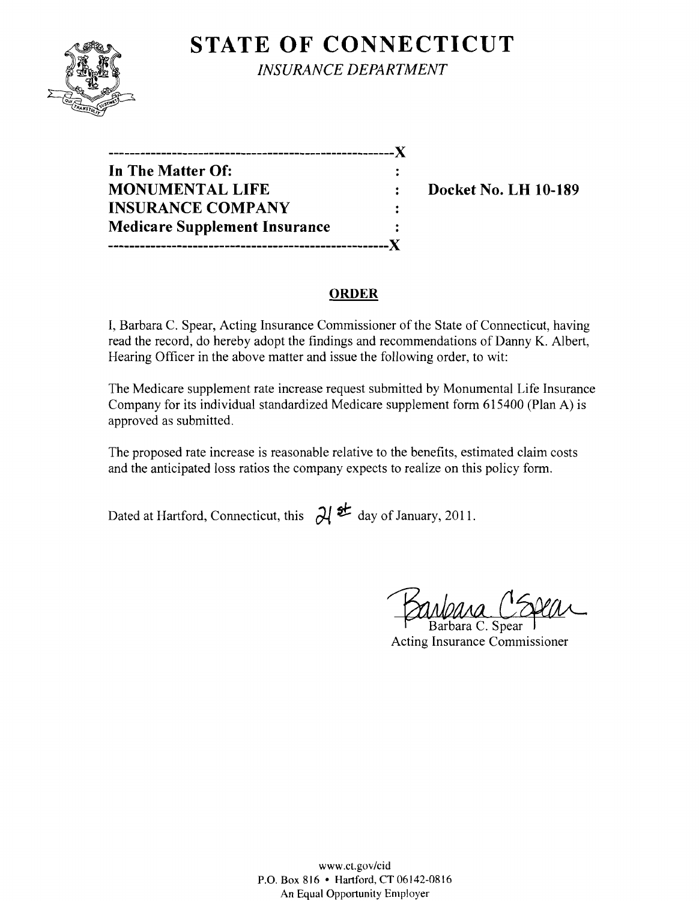# **STATE OF CONNECTICUT**



*INSURANCE DEPARTMENT* 

| . <b>.</b>                           |  |
|--------------------------------------|--|
| In The Matter Of:                    |  |
| <b>MONUMENTAL LIFE</b>               |  |
| <b>INSURANCE COMPANY</b>             |  |
| <b>Medicare Supplement Insurance</b> |  |
|                                      |  |

**Docket No. LH 10-189** 

#### **ORDER**

I, Barbara C. Spear, Acting Insurance Commissioner of the State of Connecticut, having read the record, do hereby adopt the findings and recommendations of Danny K. Albert, Hearing Officer in the above matter and issue the following order, to wit:

The Medicare supplement rate increase request submitted by Monumental Life Insurance Company for its individual standardized Medicare supplement form 615400 (Plan A) is approved as submitted.

The proposed rate increase is reasonable relative to the benefits, estimated claim costs and the anticipated loss ratios the company expects to realize on this policy form.

Dated at Hartford, Connecticut, this  $\partial l \neq d$  day of January, 2011.

Barbara C. Spear Acting Insurance Commissioner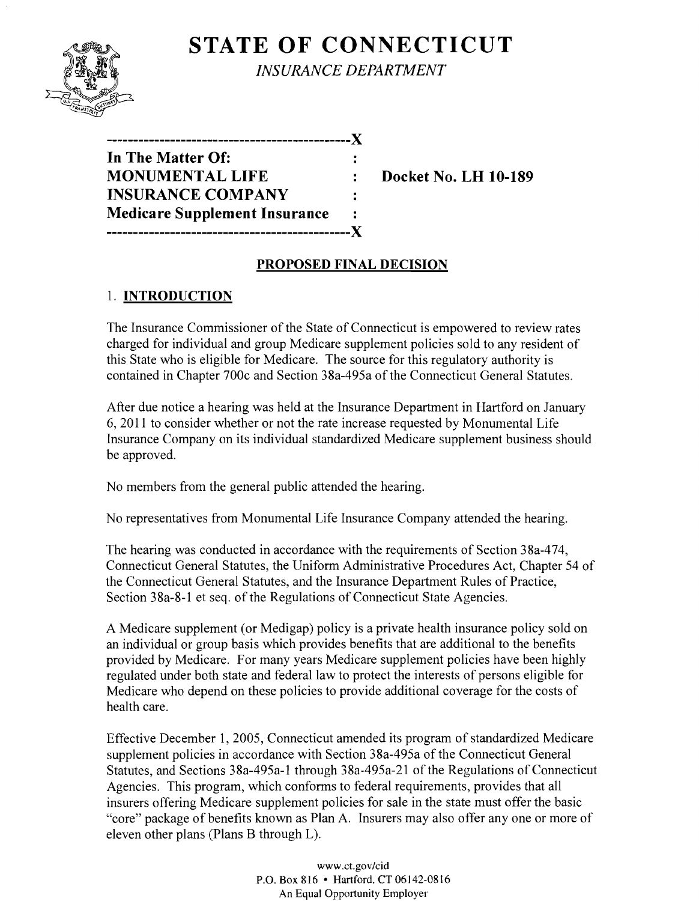# **STATE OF CONNECTICUT**



*INSURANCE DEPARTMENT* 

| In The Matter Of:                    |   |
|--------------------------------------|---|
| <b>MONUMENTAL LIFE</b>               |   |
| <b>INSURANCE COMPANY</b>             |   |
| <b>Medicare Supplement Insurance</b> | ٠ |
|                                      |   |

**Monday 10. LH 10-189** 

## **PROPOSED FINAL DECISION**

# 1. **INTRODUCTION**

The Insurance Commissioner of the State of Connecticut is empowered to review rates charged for individual and group Medicare supplement policies sold to any resident of this State who is eligible for Medicare. The source for this regulatory authority is contained in Chapter 700c and Section 38a-495a of the Connecticut General Statutes.

After due notice a hearing was held at the Insurance Department in Hartford on January 6, 2011 to consider whether or not the rate increase requested by Monumental Life Insurance Company on its individual standardized Medicare supplement business should be approved.

No members from the general public attended the hearing.

No representatives from Monumental Life Insurance Company attended the hearing.

The hearing was conducted in accordance with the requirements of Section 38a-474, Connecticut General Statutes, the Uniform Administrative Procedures Act, Chapter 54 of the Connecticut General Statutes, and the Insurance Department Rules of Practice, Section 38a-8-1 et seq. of the Regulations of Connecticut State Agencies.

A Medicare supplement (or Medigap) policy is a private health insurance policy sold on an individual or group basis which provides benefits that are additional to the benefits provided by Medicare. For many years Medicare supplement policies have been highly regulated under both state and federal law to protect the interests of persons eligible for Medicare who depend on these policies to provide additional coverage for the costs of health care.

Effective December 1,2005, Connecticut amended its program of standardized Medicare supplement policies in accordance with Section 38a-495a of the Connecticut General Statutes, and Sections 38a-495a-l through 38a-495a-21 of the Regulations of Connecticut Agencies. This program, which conforms to federal requirements, provides that all insurers offering Medicare supplement policies for sale in the state must offer the basic "core" package of benefits known as Plan A. Insurers may also offer anyone or more of eleven other plans (Plans B through L).

> www.ct.gov/cid P.O. Box 816 • Hartford, CT 06142-0816 An Equal Opportunity Employer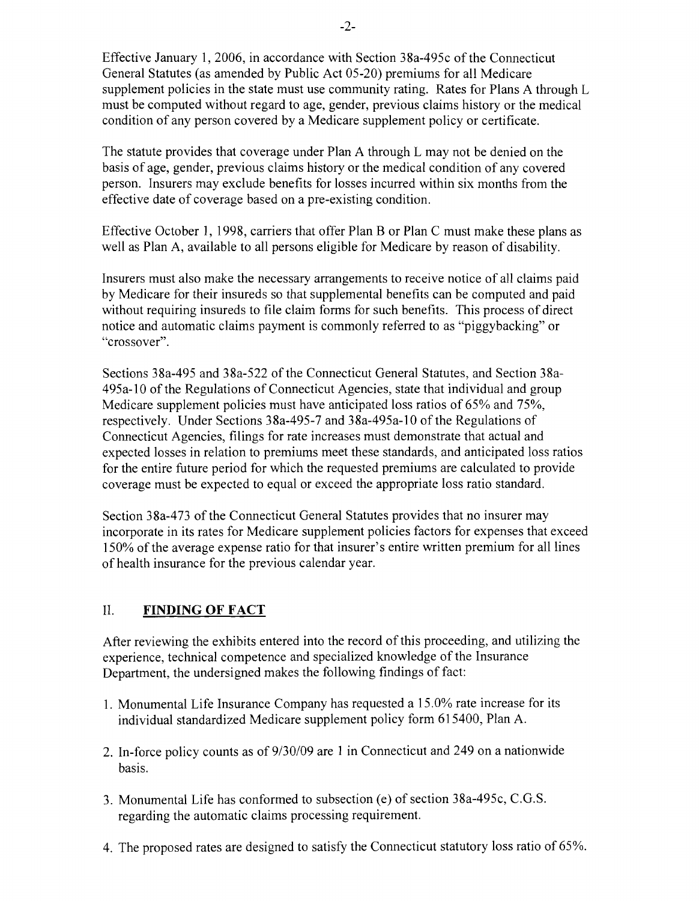Effective January 1,2006, in accordance with Section 38a-495c ofthe Connecticut General Statutes (as amended by Public Act 05-20) premiums for all Medicare supplement policies in the state must use community rating. Rates for Plans A through L must be computed without regard to age, gender, previous claims history or the medical condition of any person covered by a Medicare supplement policy or certificate.

The statute provides that coverage under Plan A through L may not be denied on the basis of age, gender, previous claims history or the medical condition of any covered person. Insurers may exclude benefits for losses incurred within six months from the effective date of coverage based on a pre-existing condition.

Effective October 1, 1998, carriers that offer Plan B or Plan C must make these plans as well as Plan A, available to all persons eligible for Medicare by reason of disability.

Insurers must also make the necessary arrangements to receive notice of all claims paid by Medicare for their insureds so that supplemental benefits can be computed and paid without requiring insureds to file claim forms for such benefits. This process of direct notice and automatic claims payment is commonly referred to as "piggybacking" or "crossover".

Sections 38a-495 and 38a-522 of the Connecticut General Statutes, and Section 38a-495a-l0 of the Regulations of Connecticut Agencies, state that individual and group Medicare supplement policies must have anticipated loss ratios of 65% and 75%, respectively. Under Sections 38a-495-7 and 38a-495a-10 of the Regulations of Connecticut Agencies, filings for rate increases must demonstrate that actual and expected losses in relation to premiums meet these standards, and anticipated loss ratios for the entire future period for which the requested premiums are calculated to provide coverage must be expected to equal or exceed the appropriate loss ratio standard.

Section 38a-473 of the Connecticut General Statutes provides that no insurer may incorporate in its rates for Medicare supplement policies factors for expenses that exceed 150% of the average expense ratio for that insurer's entire written premium for all lines of health insurance for the previous calendar year.

### II. **FINDING OF FACT**

After reviewing the exhibits entered into the record of this proceeding, and utilizing the experience, technical competence and specialized knowledge of the Insurance Department, the undersigned makes the following findings of fact:

- 1. Monumental Life Insurance Company has requested a 15.0% rate increase for its individual standardized Medicare supplement policy form 615400, Plan A.
- 2. In-force policy counts as of 9/30/09 are 1 in Connecticut and 249 on a nationwide basis.
- 3. Monumental Life has conformed to subsection (e) of section 38a-495c, C.G.S. regarding the automatic claims processing requirement.
- 4. The proposed rates are designed to satisfy the Connecticut statutory loss ratio of 65%.